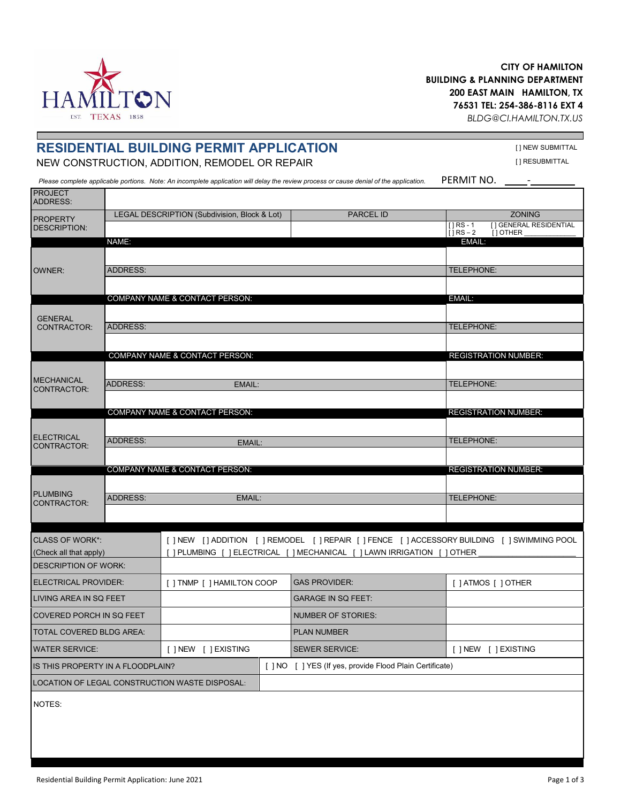## **CITY OF HAMILTON BUILDING & PLANNING DEPARTMENT 200 EAST MAIN HAMILTON, TX [76531 TEL: 25](mailto:BLDG@CI.HAMILTON.TX.US)4-386-8116 EXT 4**

*[BLDG@CI.H](http://www.hamiltontexas.com/)AMILTON.TX.US*

# **RESIDENTIAL BUILDING PERMIT APPLICATION FREMITAL EXECUTION ADDITION REMODEL OR REPAIR FREMITAL EXPRESSION TRESUBMITTAL**

NEW CONSTRUCTION, ADDITION, REMODEL OR REPAIR

Please complete applicable portions. Note: An incomplete application will delay the review process or cause denial of the application. PERMIT NO. \_\_\_\_\_-\_

| <b>PROJECT</b><br>ADDRESS:           |                 |                                                                                                |  |                                                                        |                          |                                           |
|--------------------------------------|-----------------|------------------------------------------------------------------------------------------------|--|------------------------------------------------------------------------|--------------------------|-------------------------------------------|
| <b>PROPERTY</b>                      |                 | LEGAL DESCRIPTION (Subdivision, Block & Lot)                                                   |  | <b>PARCEL ID</b>                                                       |                          | <b>ZONING</b>                             |
| <b>DESCRIPTION:</b>                  |                 |                                                                                                |  |                                                                        | $[]RS - 1$<br>$[]RS - 2$ | [] GENERAL RESIDENTIAL<br>$[$ ] OTHER $[$ |
|                                      | NAME:           |                                                                                                |  |                                                                        | EMAIL:                   |                                           |
| <b>OWNER:</b>                        |                 |                                                                                                |  |                                                                        |                          |                                           |
|                                      | <b>ADDRESS:</b> |                                                                                                |  |                                                                        | TELEPHONE:               |                                           |
|                                      |                 |                                                                                                |  |                                                                        |                          |                                           |
| <b>GENERAL</b><br><b>CONTRACTOR:</b> |                 | COMPANY NAME & CONTACT PERSON:                                                                 |  |                                                                        | EMAIL:                   |                                           |
|                                      | <b>ADDRESS:</b> |                                                                                                |  |                                                                        | TELEPHONE:               |                                           |
|                                      |                 |                                                                                                |  |                                                                        |                          |                                           |
|                                      |                 | COMPANY NAME & CONTACT PERSON:                                                                 |  |                                                                        |                          | <b>REGISTRATION NUMBER:</b>               |
| <b>MECHANICAL</b><br>CONTRACTOR:     |                 |                                                                                                |  |                                                                        |                          |                                           |
|                                      | <b>ADDRESS:</b> | EMAIL:                                                                                         |  |                                                                        | TELEPHONE:               |                                           |
|                                      |                 |                                                                                                |  |                                                                        |                          |                                           |
|                                      |                 | COMPANY NAME & CONTACT PERSON:                                                                 |  |                                                                        |                          | <b>REGISTRATION NUMBER:</b>               |
|                                      |                 |                                                                                                |  |                                                                        |                          |                                           |
| <b>ELECTRICAL</b><br>CONTRACTOR:     | <b>ADDRESS:</b> | EMAIL:                                                                                         |  |                                                                        | TELEPHONE:               |                                           |
|                                      |                 |                                                                                                |  |                                                                        |                          |                                           |
|                                      |                 | <b>COMPANY NAME &amp; CONTACT PERSON:</b>                                                      |  |                                                                        |                          | <b>REGISTRATION NUMBER:</b>               |
| <b>PLUMBING</b>                      | EMAIL:          |                                                                                                |  |                                                                        |                          | TELEPHONE:                                |
| CONTRACTOR:                          | <b>ADDRESS:</b> |                                                                                                |  |                                                                        |                          |                                           |
|                                      |                 |                                                                                                |  |                                                                        |                          |                                           |
| <b>CLASS OF WORK*:</b>               |                 | [ ] NEW [ ] ADDITION [ ] REMODEL [ ] REPAIR [ ] FENCE [ ] ACCESSORY BUILDING [ ] SWIMMING POOL |  |                                                                        |                          |                                           |
| (Check all that apply)               |                 |                                                                                                |  | ] PLUMBING [ ] ELECTRICAL [ ] MECHANICAL [ ] LAWN IRRIGATION [ ] OTHER |                          |                                           |
| <b>DESCRIPTION OF WORK:</b>          |                 |                                                                                                |  |                                                                        |                          |                                           |
| ELECTRICAL PROVIDER:                 |                 | [ ] TNMP [ ] HAMILTON COOP                                                                     |  | <b>GAS PROVIDER:</b>                                                   | [ ] ATMOS [ ] OTHER      |                                           |
| LIVING AREA IN SQ FEET               |                 |                                                                                                |  | <b>GARAGE IN SQ FEET:</b>                                              |                          |                                           |
| COVERED PORCH IN SQ FEET             |                 |                                                                                                |  | <b>NUMBER OF STORIES:</b>                                              |                          |                                           |
| <b>TOTAL COVERED BLDG AREA:</b>      |                 |                                                                                                |  | <b>PLAN NUMBER</b>                                                     |                          |                                           |
| <b>WATER SERVICE:</b>                |                 | [ ] NEW [ ] EXISTING                                                                           |  | <b>SEWER SERVICE:</b>                                                  |                          | [ ] NEW [ ] EXISTING                      |
| IS THIS PROPERTY IN A FLOODPLAIN?    |                 |                                                                                                |  | [ ] NO [ ] YES (If yes, provide Flood Plain Certificate)               |                          |                                           |
|                                      |                 | LOCATION OF LEGAL CONSTRUCTION WASTE DISPOSAL:                                                 |  |                                                                        |                          |                                           |
| NOTES:                               |                 |                                                                                                |  |                                                                        |                          |                                           |

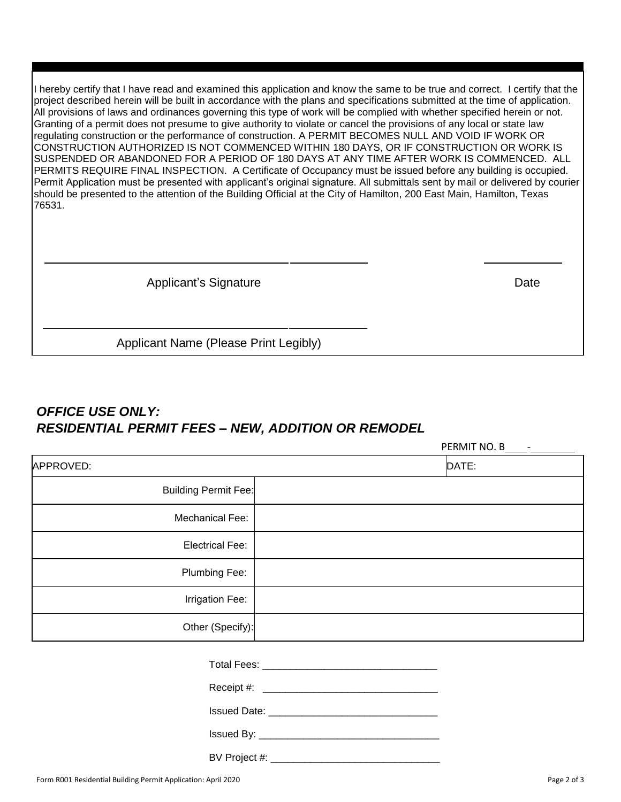I hereby certify that I have read and examined this application and know the same to be true and correct. I certify that the project described herein will be built in accordance with the plans and specifications submitted at the time of application. All provisions of laws and ordinances governing this type of work will be complied with whether specified herein or not. Granting of a permit does not presume to give authority to violate or cancel the provisions of any local or state law regulating construction or the performance of construction. A PERMIT BECOMES NULL AND VOID IF WORK OR CONSTRUCTION AUTHORIZED IS NOT COMMENCED WITHIN 180 DAYS, OR IF CONSTRUCTION OR WORK IS SUSPENDED OR ABANDONED FOR A PERIOD OF 180 DAYS AT ANY TIME AFTER WORK IS COMMENCED. ALL PERMITS REQUIRE FINAL INSPECTION. A Certificate of Occupancy must be issued before any building is occupied. Permit Application must be presented with applicant's original signature. All submittals sent by mail or delivered by courier should be presented to the attention of the Building Official at the City of Hamilton, 200 East Main, Hamilton, Texas 76531.

Applicant's Signature Date Date

PERMIT NO. B -

Applicant Name (Please Print Legibly)

# *OFFICE USE ONLY: RESIDENTIAL PERMIT FEES – NEW, ADDITION OR REMODEL*

| DATE:                       |
|-----------------------------|
| <b>Building Permit Fee:</b> |
|                             |
|                             |
|                             |
|                             |
| Other (Specify):            |
|                             |
|                             |

Issued By: \_\_\_\_\_\_\_\_\_\_\_\_\_\_\_\_\_\_\_\_\_\_\_\_\_\_\_\_\_\_\_\_

BV Project #: \_\_\_\_\_\_\_\_\_\_\_\_\_\_\_\_\_\_\_\_\_\_\_\_\_\_\_\_\_\_